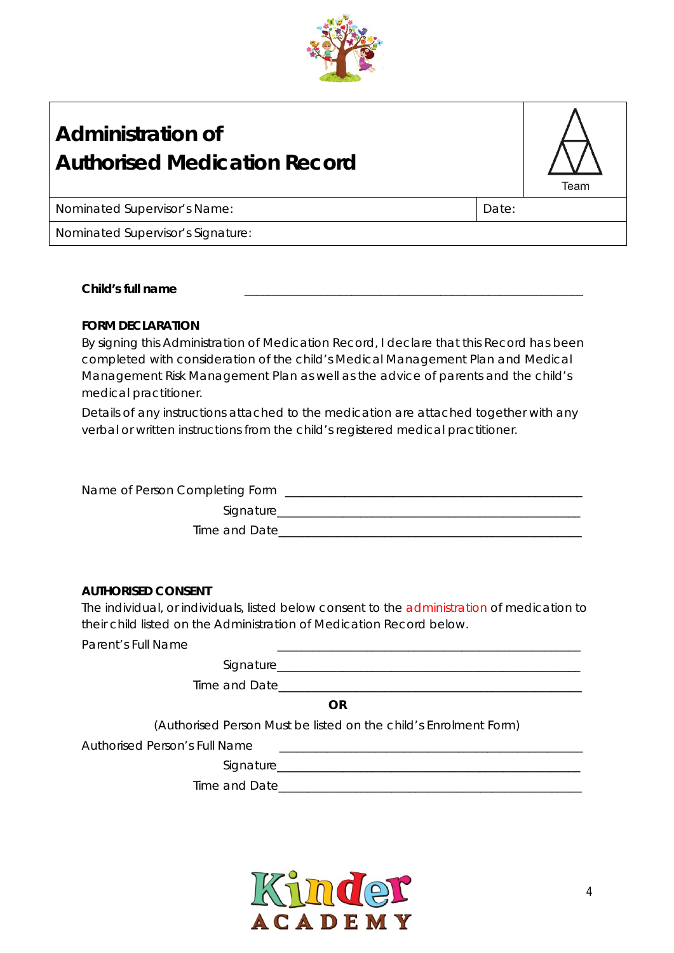

## **Administration of Authorised Medication Record**

Nominated Supervisor's Name: Name: Date: 2014

Team

Nominated Supervisor's Signature:

**Child's full name** \_\_\_\_\_\_\_\_\_\_\_\_\_\_\_\_\_\_\_\_\_\_\_\_\_\_\_\_\_\_\_\_\_\_\_\_\_\_\_\_\_\_\_\_\_\_\_\_\_\_\_\_\_\_\_\_\_

### **FORM DECLARATION**

By signing this Administration of Medication Record, I declare that this Record has been completed with consideration of the child's Medical Management Plan and Medical Management Risk Management Plan as well as the advice of parents and the child's medical practitioner.

Details of any instructions attached to the medication are attached together with any verbal or written instructions from the child's registered medical practitioner.

| Name of Person Completing Form |  |
|--------------------------------|--|
| Signature                      |  |
| Time and Date                  |  |

#### **AUTHORISED CONSENT**

The individual, or individuals, listed below consent to the administration of medication to their child listed on the Administration of Medication Record below.

Parent's Full Name

| Signature_    |             |
|---------------|-------------|
|               |             |
| Time and Date |             |
|               |             |
|               | $\sqrt{11}$ |

**OR**

(Authorised Person Must be listed on the child's Enrolment Form)

Authorised Person's Full Name

Signature

Time and Date

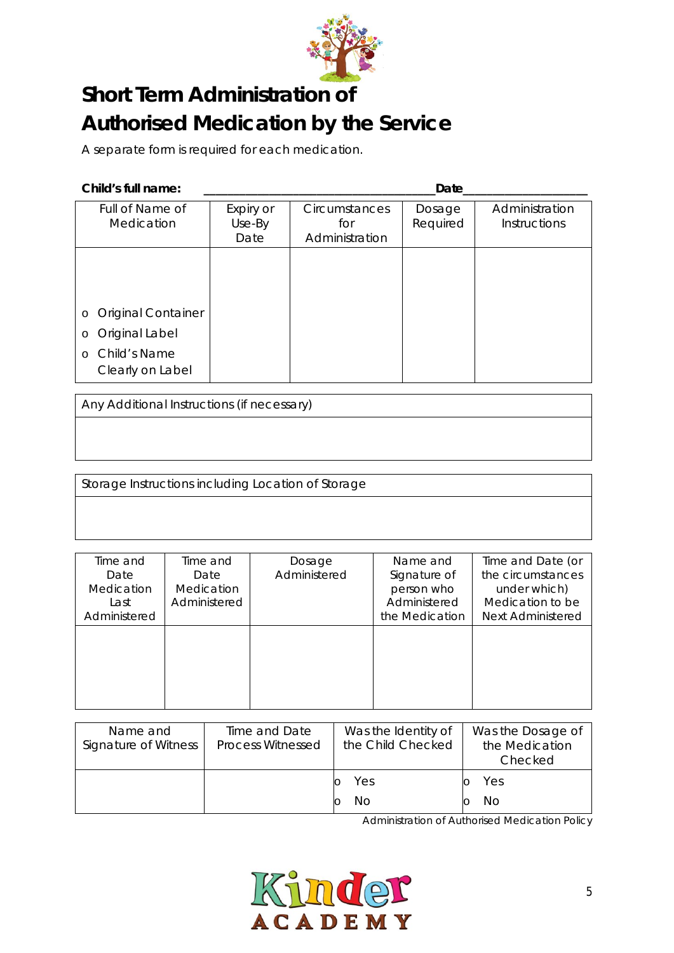

# **Short Term Administration of Authorised Medication by the Service**

A separate form is required for each medication.

**Child's full name: \_\_\_\_\_\_\_\_\_\_\_\_\_\_\_\_\_\_\_\_\_\_\_\_\_\_\_\_\_\_\_\_\_\_\_\_\_\_\_Date\_\_\_\_\_\_\_\_\_\_\_\_\_\_\_\_\_\_\_\_\_**

| Full of Name of<br>Medication        | Expiry or<br>Use-By<br>Date | Circumstances<br>for<br>Administration | Dosage<br>Required | Administration<br><b>Instructions</b> |
|--------------------------------------|-----------------------------|----------------------------------------|--------------------|---------------------------------------|
|                                      |                             |                                        |                    |                                       |
| <b>Original Container</b><br>$\circ$ |                             |                                        |                    |                                       |
|                                      |                             |                                        |                    |                                       |
| Original Label<br>$\circ$            |                             |                                        |                    |                                       |
| o Child's Name<br>Clearly on Label   |                             |                                        |                    |                                       |

Any Additional Instructions (if necessary)

Storage Instructions including Location of Storage

| Time and     | Time and     | Dosage       | Name and       | Time and Date (or        |
|--------------|--------------|--------------|----------------|--------------------------|
| Date         | Date         | Administered | Signature of   | the circumstances        |
| Medication   | Medication   |              | person who     | under which)             |
| Last         | Administered |              | Administered   | Medication to be         |
| Administered |              |              | the Medication | <b>Next Administered</b> |
|              |              |              |                |                          |
|              |              |              |                |                          |
|              |              |              |                |                          |
|              |              |              |                |                          |
|              |              |              |                |                          |
|              |              |              |                |                          |

| Name and<br>Signature of Witness | Time and Date<br><b>Process Witnessed</b> | Was the Identity of<br>the Child Checked | Was the Dosage of<br>the Medication<br>Checked |  |
|----------------------------------|-------------------------------------------|------------------------------------------|------------------------------------------------|--|
|                                  |                                           | Yes<br>NΟ                                | Yes<br>No                                      |  |

*Administration of Authorised Medication Policy*